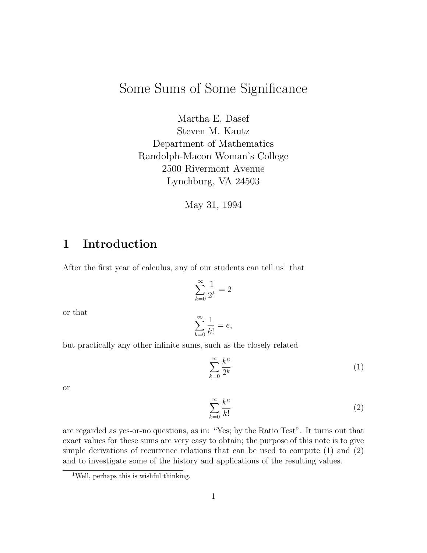# Some Sums of Some Significance

Martha E. Dasef Steven M. Kautz Department of Mathematics Randolph-Macon Woman's College 2500 Rivermont Avenue Lynchburg, VA 24503

May 31, 1994

## 1 Introduction

After the first year of calculus, any of our students can tell  $us<sup>1</sup>$  that

$$
\sum_{k=0}^{\infty} \frac{1}{2^k} = 2
$$

or that

$$
\sum_{k=0}^{\infty} \frac{1}{k!} = e,
$$

but practically any other infinite sums, such as the closely related

$$
\sum_{k=0}^{\infty} \frac{k^n}{2^k} \tag{1}
$$

or

$$
\sum_{k=0}^{\infty} \frac{k^n}{k!}
$$
 (2)

are regarded as yes-or-no questions, as in: "Yes; by the Ratio Test". It turns out that exact values for these sums are very easy to obtain; the purpose of this note is to give simple derivations of recurrence relations that can be used to compute (1) and (2) and to investigate some of the history and applications of the resulting values.

<sup>1</sup>Well, perhaps this is wishful thinking.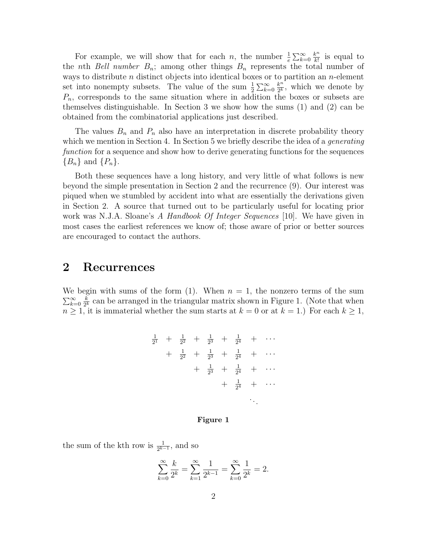For example, we will show that for each *n*, the number  $\frac{1}{e} \sum_{k=0}^{\infty} \frac{k^n}{k!}$  $\frac{k^n}{k!}$  is equal to the nth Bell number  $B_n$ ; among other things  $B_n$  represents the total number of ways to distribute  $n$  distinct objects into identical boxes or to partition an  $n$ -element set into nonempty subsets. The value of the sum  $\frac{1}{2} \sum_{k=0}^{\infty} \frac{k^n}{2^k}$  $\frac{k^n}{2^k}$ , which we denote by  $P_n$ , corresponds to the same situation where in addition the boxes or subsets are themselves distinguishable. In Section 3 we show how the sums (1) and (2) can be obtained from the combinatorial applications just described.

The values  $B_n$  and  $P_n$  also have an interpretation in discrete probability theory which we mention in Section 4. In Section 5 we briefly describe the idea of a *generating* function for a sequence and show how to derive generating functions for the sequences  ${B_n}$  and  ${P_n}$ .

Both these sequences have a long history, and very little of what follows is new beyond the simple presentation in Section 2 and the recurrence (9). Our interest was piqued when we stumbled by accident into what are essentially the derivations given in Section 2. A source that turned out to be particularly useful for locating prior work was N.J.A. Sloane's A Handbook Of Integer Sequences [10]. We have given in most cases the earliest references we know of; those aware of prior or better sources are encouraged to contact the authors.

### 2 Recurrences

We begin with sums of the form (1). When  $n = 1$ , the nonzero terms of the sum  $\sum_{k=0}^{\infty} \frac{k}{2^k}$  $\frac{k}{2^k}$  can be arranged in the triangular matrix shown in Figure 1. (Note that when  $n \geq 1$ , it is immaterial whether the sum starts at  $k = 0$  or at  $k = 1$ .) For each  $k \geq 1$ ,

$$
\frac{1}{2^{1}} + \frac{1}{2^{2}} + \frac{1}{2^{3}} + \frac{1}{2^{4}} + \cdots
$$
\n
$$
+ \frac{1}{2^{2}} + \frac{1}{2^{3}} + \frac{1}{2^{4}} + \cdots
$$
\n
$$
+ \frac{1}{2^{3}} + \frac{1}{2^{4}} + \cdots
$$
\n
$$
+ \frac{1}{2^{4}} + \cdots
$$

#### Figure 1

the sum of the kth row is  $\frac{1}{2^{k-1}}$ , and so

$$
\sum_{k=0}^{\infty} \frac{k}{2^k} = \sum_{k=1}^{\infty} \frac{1}{2^{k-1}} = \sum_{k=0}^{\infty} \frac{1}{2^k} = 2.
$$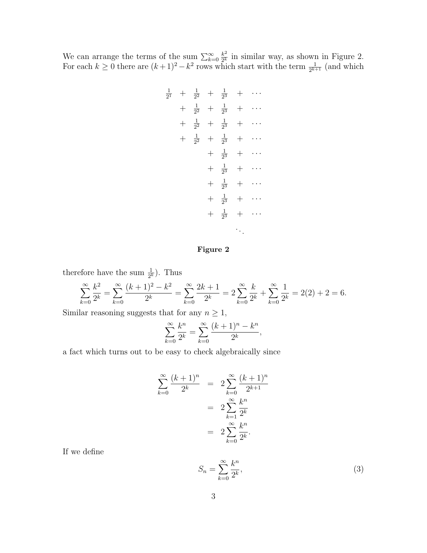We can arrange the terms of the sum  $\sum_{k=0}^{\infty} \frac{k^2}{2^k}$  $\frac{k^2}{2^k}$  in similar way, as shown in Figure 2. For each  $k \geq 0$  there are  $(k+1)^2 - k^2$  rows which start with the term  $\frac{1}{2^{k+1}}$  (and which

$$
\frac{1}{2^{1}} + \frac{1}{2^{2}} + \frac{1}{2^{3}} + \cdots
$$
\n
$$
+ \frac{1}{2^{2}} + \frac{1}{2^{3}} + \cdots
$$
\n
$$
+ \frac{1}{2^{2}} + \frac{1}{2^{3}} + \cdots
$$
\n
$$
+ \frac{1}{2^{3}} + \frac{1}{2^{3}} + \cdots
$$
\n
$$
+ \frac{1}{2^{3}} + \cdots
$$
\n
$$
+ \frac{1}{2^{3}} + \cdots
$$
\n
$$
+ \frac{1}{2^{3}} + \cdots
$$
\n
$$
+ \frac{1}{2^{3}} + \cdots
$$
\n
$$
+ \frac{1}{2^{3}} + \cdots
$$

#### Figure 2

therefore have the sum  $\frac{1}{2^k}$ ). Thus

$$
\sum_{k=0}^{\infty} \frac{k^2}{2^k} = \sum_{k=0}^{\infty} \frac{(k+1)^2 - k^2}{2^k} = \sum_{k=0}^{\infty} \frac{2k+1}{2^k} = 2 \sum_{k=0}^{\infty} \frac{k}{2^k} + \sum_{k=0}^{\infty} \frac{1}{2^k} = 2(2) + 2 = 6.
$$

Similar reasoning suggests that for any  $n \geq 1$ ,

$$
\sum_{k=0}^{\infty} \frac{k^n}{2^k} = \sum_{k=0}^{\infty} \frac{(k+1)^n - k^n}{2^k},
$$

a fact which turns out to be easy to check algebraically since

$$
\sum_{k=0}^{\infty} \frac{(k+1)^n}{2^k} = 2 \sum_{k=0}^{\infty} \frac{(k+1)^n}{2^{k+1}}
$$
  
=  $2 \sum_{k=1}^{\infty} \frac{k^n}{2^k}$   
=  $2 \sum_{k=0}^{\infty} \frac{k^n}{2^k}.$ 

If we define

$$
S_n = \sum_{k=0}^{\infty} \frac{k^n}{2^k},\tag{3}
$$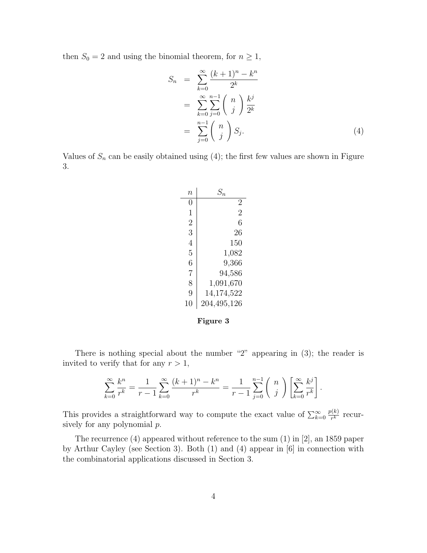then  $S_0 = 2$  and using the binomial theorem, for  $n \geq 1$ ,

$$
S_n = \sum_{k=0}^{\infty} \frac{(k+1)^n - k^n}{2^k}
$$
  
= 
$$
\sum_{k=0}^{\infty} \sum_{j=0}^{n-1} {n \choose j} \frac{k^j}{2^k}
$$
  
= 
$$
\sum_{j=0}^{n-1} {n \choose j} S_j.
$$
 (4)

Values of  $S_n$  can be easily obtained using (4); the first few values are shown in Figure 3.

| $\it n$        | $S_n$          |
|----------------|----------------|
| O              | 2              |
| 1              | $\overline{2}$ |
| $\overline{2}$ | 6              |
| 3              | 26             |
| 4              | 150            |
| 5              | 1,082          |
| 6              | 9,366          |
| 7              | 94,586         |
| 8              | 1,091,670      |
| 9              | 14,174,522     |
| 10             | 204,495,126    |
|                |                |

#### Figure 3

There is nothing special about the number "2" appearing in (3); the reader is invited to verify that for any  $r > 1$ ,

$$
\sum_{k=0}^{\infty} \frac{k^n}{r^k} = \frac{1}{r-1} \sum_{k=0}^{\infty} \frac{(k+1)^n - k^n}{r^k} = \frac{1}{r-1} \sum_{j=0}^{n-1} {n \choose j} \left[ \sum_{k=0}^{\infty} \frac{k^j}{r^k} \right].
$$

This provides a straightforward way to compute the exact value of  $\sum_{k=0}^{\infty}$  $p(k)$  $\frac{r^{(k)}}{r^k}$  recursively for any polynomial  $p$ .

The recurrence (4) appeared without reference to the sum (1) in [2], an 1859 paper by Arthur Cayley (see Section 3). Both (1) and (4) appear in [6] in connection with the combinatorial applications discussed in Section 3.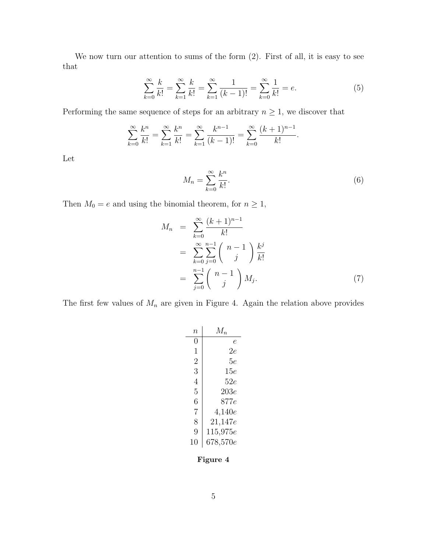We now turn our attention to sums of the form  $(2)$ . First of all, it is easy to see that

$$
\sum_{k=0}^{\infty} \frac{k}{k!} = \sum_{k=1}^{\infty} \frac{k}{k!} = \sum_{k=1}^{\infty} \frac{1}{(k-1)!} = \sum_{k=0}^{\infty} \frac{1}{k!} = e.
$$
 (5)

Performing the same sequence of steps for an arbitrary  $n \geq 1$ , we discover that

$$
\sum_{k=0}^{\infty} \frac{k^n}{k!} = \sum_{k=1}^{\infty} \frac{k^n}{k!} = \sum_{k=1}^{\infty} \frac{k^{n-1}}{(k-1)!} = \sum_{k=0}^{\infty} \frac{(k+1)^{n-1}}{k!}.
$$

Let

$$
M_n = \sum_{k=0}^{\infty} \frac{k^n}{k!}.
$$
\n<sup>(6)</sup>

Then  $M_0 = e$  and using the binomial theorem, for  $n \ge 1$ ,

$$
M_n = \sum_{k=0}^{\infty} \frac{(k+1)^{n-1}}{k!} \\
= \sum_{k=0}^{\infty} \sum_{j=0}^{n-1} {n-1 \choose j} \frac{k^j}{k!} \\
= \sum_{j=0}^{n-1} {n-1 \choose j} M_j.
$$
 (7)

The first few values of  $M_n$  are given in Figure 4. Again the relation above provides

| $\it n$          | $M_n$        |
|------------------|--------------|
| $\left( \right)$ | e            |
| 1                | 2e           |
| 2                | 5е           |
| 3                | 15e          |
| 4                | 52e          |
| 5                | 203e         |
| 6                | 877e         |
| 7                | 4,140e       |
| 8                | $21{,}147e$  |
| 9                | $115{,}975e$ |
| 10               | $678,\!570e$ |

Figure 4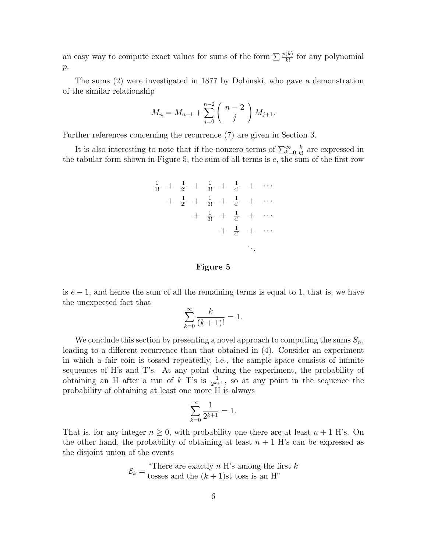an easy way to compute exact values for sums of the form  $\sum \frac{p(k)}{k!}$  for any polynomial  $p$ .

The sums (2) were investigated in 1877 by Dobinski, who gave a demonstration of the similar relationship

$$
M_n = M_{n-1} + \sum_{j=0}^{n-2} {n-2 \choose j} M_{j+1}.
$$

Further references concerning the recurrence (7) are given in Section 3.

It is also interesting to note that if the nonzero terms of  $\sum_{k=0}^{\infty} \frac{k}{k!}$  $\frac{k}{k!}$  are expressed in the tabular form shown in Figure 5, the sum of all terms is  $e$ , the sum of the first row

|  |  |  | $\frac{1}{1!} + \frac{1}{2!} + \frac{1}{3!} + \frac{1}{4!} + \cdots$ |  |
|--|--|--|----------------------------------------------------------------------|--|
|  |  |  | $+ \frac{1}{2!} + \frac{1}{3!} + \frac{1}{4!} + \cdots$              |  |
|  |  |  | $+ \frac{1}{3!} + \frac{1}{4!} + \cdots$                             |  |
|  |  |  | $+ \frac{1}{4!} + \cdots$                                            |  |
|  |  |  |                                                                      |  |

#### Figure 5

is  $e-1$ , and hence the sum of all the remaining terms is equal to 1, that is, we have the unexpected fact that

$$
\sum_{k=0}^{\infty} \frac{k}{(k+1)!} = 1.
$$

We conclude this section by presenting a novel approach to computing the sums  $S_n$ , leading to a different recurrence than that obtained in (4). Consider an experiment in which a fair coin is tossed repeatedly, i.e., the sample space consists of infinite sequences of H's and T's. At any point during the experiment, the probability of obtaining an H after a run of k T's is  $\frac{1}{2^{k+1}}$ , so at any point in the sequence the probability of obtaining at least one more H is always

$$
\sum_{k=0}^{\infty} \frac{1}{2^{k+1}} = 1.
$$

That is, for any integer  $n \geq 0$ , with probability one there are at least  $n + 1$  H's. On the other hand, the probability of obtaining at least  $n + 1$  H's can be expressed as the disjoint union of the events

$$
\mathcal{E}_k = \frac{\text{``There are exactly } n \text{ H's among the first } k}{\text{ tosses and the } (k+1)\text{st toss is an H''}}
$$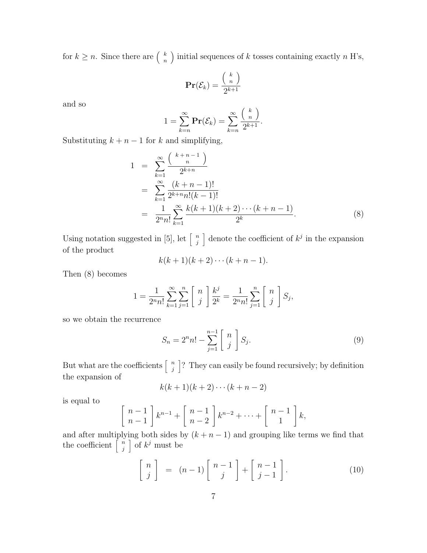for  $k \geq n$ . Since there are  $\begin{pmatrix} k \\ n \end{pmatrix}$  $\binom{k}{n}$  initial sequences of k tosses containing exactly n H's,

$$
\mathbf{Pr}(\mathcal{E}_k) = \frac{\binom{k}{n}}{2^{k+1}}
$$

and so

$$
1 = \sum_{k=n}^{\infty} \mathbf{Pr}(\mathcal{E}_k) = \sum_{k=n}^{\infty} \frac{\binom{k}{n}}{2^{k+1}}.
$$

Substituting  $k + n - 1$  for k and simplifying,

$$
1 = \sum_{k=1}^{\infty} \frac{\binom{k+n-1}{n}}{2^{k+n}}
$$
  
= 
$$
\sum_{k=1}^{\infty} \frac{(k+n-1)!}{2^{k+n}n!(k-1)!}
$$
  
= 
$$
\frac{1}{2^n n!} \sum_{k=1}^{\infty} \frac{k(k+1)(k+2)\cdots(k+n-1)}{2^k}.
$$
 (8)

Using notation suggested in [5], let  $\left[\begin{array}{c} n \\ i \end{array}\right]$  $\binom{n}{j}$  denote the coefficient of  $k^j$  in the expansion of the product

$$
k(k+1)(k+2)\cdots(k+n-1).
$$

Then (8) becomes

$$
1 = \frac{1}{2^n n!} \sum_{k=1}^{\infty} \sum_{j=1}^n \begin{bmatrix} n \\ j \end{bmatrix} \frac{k^j}{2^k} = \frac{1}{2^n n!} \sum_{j=1}^n \begin{bmatrix} n \\ j \end{bmatrix} S_j,
$$

so we obtain the recurrence

$$
S_n = 2^n n! - \sum_{j=1}^{n-1} \left[ \begin{array}{c} n \\ j \end{array} \right] S_j.
$$
 (9)

But what are the coefficients  $\left\lceil \frac{n}{i} \right\rceil$  $\binom{n}{j}$ ? They can easily be found recursively; by definition the expansion of

$$
k(k+1)(k+2)\cdots(k+n-2)
$$

is equal to

$$
\left[\begin{array}{c}n-1\\n-1\end{array}\right]k^{n-1}+\left[\begin{array}{c}n-1\\n-2\end{array}\right]k^{n-2}+\cdots+\left[\begin{array}{c}n-1\\1\end{array}\right]k,
$$

and after multiplying both sides by  $(k + n - 1)$  and grouping like terms we find that the coefficient  $\left[ \begin{array}{c} n \\ i \end{array} \right]$  $\binom{n}{j}$  of  $k^j$  must be

$$
\begin{bmatrix} n \\ j \end{bmatrix} = (n-1) \begin{bmatrix} n-1 \\ j \end{bmatrix} + \begin{bmatrix} n-1 \\ j-1 \end{bmatrix}.
$$
 (10)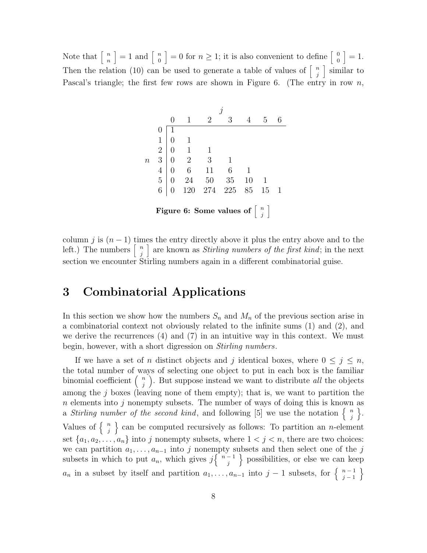Note that  $\left\lceil \frac{n}{n} \right\rceil$  $\begin{bmatrix} n \\ n \end{bmatrix} = 1$  and  $\begin{bmatrix} n \\ 0 \end{bmatrix}$  $\begin{bmatrix} n \\ 0 \end{bmatrix} = 0$  for  $n \geq 1$ ; it is also convenient to define  $\begin{bmatrix} 0 \\ 0 \end{bmatrix}$  $\begin{bmatrix} 0 \\ 0 \end{bmatrix} = 1.$ Then the relation (10) can be used to generate a table of values of  $\lceil \frac{n}{i} \rceil$  $\binom{n}{j}$  similar to Pascal's triangle; the first few rows are shown in Figure 6. (The entry in row  $n$ ,



column j is  $(n-1)$  times the entry directly above it plus the entry above and to the left.) The numbers  $\begin{bmatrix} n \\ i \end{bmatrix}$  $\binom{n}{j}$  are known as *Stirling numbers of the first kind*; in the next section we encounter Stirling numbers again in a different combinatorial guise.

# 3 Combinatorial Applications

In this section we show how the numbers  $S_n$  and  $M_n$  of the previous section arise in a combinatorial context not obviously related to the infinite sums (1) and (2), and we derive the recurrences  $(4)$  and  $(7)$  in an intuitive way in this context. We must begin, however, with a short digression on *Stirling numbers*.

If we have a set of n distinct objects and j identical boxes, where  $0 \leq j \leq n$ , the total number of ways of selecting one object to put in each box is the familiar binomial coefficient  $\begin{pmatrix} n \\ i \end{pmatrix}$  $\binom{n}{j}$ . But suppose instead we want to distribute *all* the objects among the  $j$  boxes (leaving none of them empty); that is, we want to partition the  $n$  elements into j nonempty subsets. The number of ways of doing this is known as a Stirling number of the second kind, and following [5] we use the notation  $\begin{cases} n \\ n \end{cases}$  $\begin{matrix} n \\ j \end{matrix}$ . Values of  $\begin{cases} n \\ n \end{cases}$  $\binom{n}{j}$  can be computed recursively as follows: To partition an *n*-element set  $\{a_1, a_2, \ldots, a_n\}$  into j nonempty subsets, where  $1 < j < n$ , there are two choices: we can partition  $a_1, \ldots, a_{n-1}$  into j nonempty subsets and then select one of the j subsets in which to put  $a_n$ , which gives  $j\begin{cases}n-1\\i\end{cases}$  $\begin{bmatrix} -1 \\ j \end{bmatrix}$  possibilities, or else we can keep  $a_n$  in a subset by itself and partition  $a_1, \ldots, a_{n-1}$  into  $j-1$  subsets, for  $\begin{cases} n-1 \\ n-1 \end{cases}$  $\begin{matrix} n-1 \\ j-1 \end{matrix}$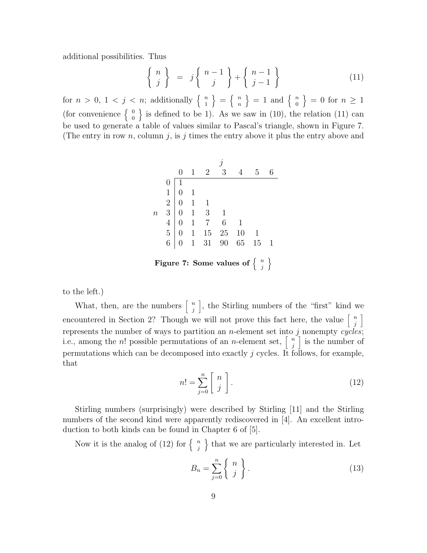additional possibilities. Thus

$$
\left\{\begin{array}{c}\nn \\
j\n\end{array}\right\} = j \left\{\begin{array}{c}\nn-1 \\
j\n\end{array}\right\} + \left\{\begin{array}{c}\nn-1 \\
j-1\n\end{array}\right\} \tag{11}
$$

for  $n > 0, 1 < j < n$ ; additionally  $\begin{cases} n \\ 1 \end{cases}$  $\left\{\begin{array}{c} n \\ 1 \end{array}\right\} \;=\; \left\{\begin{array}{c} n \\ n \end{array}\right.$  $\begin{bmatrix} n \\ n \end{bmatrix} = 1$  and  $\begin{Bmatrix} n \\ 0 \end{Bmatrix}$  $\begin{pmatrix} n \\ 0 \end{pmatrix} = 0$  for  $n \geq 1$ (for convenience  $\begin{cases} 0 \\ 0 \end{cases}$  $\begin{pmatrix} 0 \\ 0 \end{pmatrix}$  is defined to be 1). As we saw in (10), the relation (11) can be used to generate a table of values similar to Pascal's triangle, shown in Figure 7. (The entry in row n, column j, is j times the entry above it plus the entry above and

| $0$ | $1$                                                                                                                                                                                              | $2$ | $3$ | $4$ | $5$ | $6$ |
|-----|--------------------------------------------------------------------------------------------------------------------------------------------------------------------------------------------------|-----|-----|-----|-----|-----|
| $0$ | $\begin{bmatrix} 1 & 2 & 3 & 4 & 5 & 6 \\ 0 & 1 & 1 & 1 & 1 \\ 0 & 1 & 3 & 1 & 1 \\ 4 & 0 & 1 & 7 & 6 & 1 \\ 5 & 0 & 1 & 15 & 25 & 10 & 1 \\ 6 & 0 & 1 & 31 & 90 & 65 & 15 & 1 \end{bmatrix}$ \n |     |     |     |     |     |

\n**Figure 7:** Some values of  $\{n \}$ 

to the left.)

What, then, are the numbers  $\begin{bmatrix} n \\ i \end{bmatrix}$  $\binom{n}{j}$ , the Stirling numbers of the "first" kind we encountered in Section 2? Though we will not prove this fact here, the value  $\begin{bmatrix} n \\ i \end{bmatrix}$  $\begin{bmatrix} n \\ j \end{bmatrix}$ represents the number of ways to partition an *n*-element set into  $j$  nonempty cycles; i.e., among the *n*! possible permutations of an *n*-element set,  $\begin{bmatrix} n \\ i \end{bmatrix}$  $\binom{n}{j}$  is the number of permutations which can be decomposed into exactly j cycles. It follows, for example, that

$$
n! = \sum_{j=0}^{n} \left[ \begin{array}{c} n \\ j \end{array} \right]. \tag{12}
$$

Stirling numbers (surprisingly) were described by Stirling [11] and the Stirling numbers of the second kind were apparently rediscovered in [4]. An excellent introduction to both kinds can be found in Chapter 6 of [5].

Now it is the analog of (12) for  $\begin{cases} n \\ i \end{cases}$  $\binom{n}{j}$  that we are particularly interested in. Let

$$
B_n = \sum_{j=0}^n \left\{ \begin{array}{c} n \\ j \end{array} \right\}.
$$
 (13)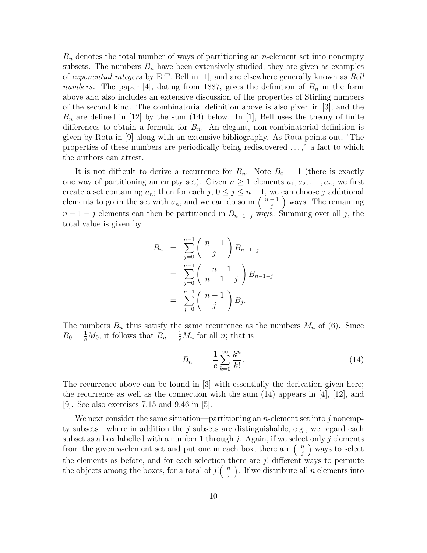$B_n$  denotes the total number of ways of partitioning an *n*-element set into nonempty subsets. The numbers  $B_n$  have been extensively studied; they are given as examples of exponential integers by E.T. Bell in [1], and are elsewhere generally known as Bell numbers. The paper [4], dating from 1887, gives the definition of  $B_n$  in the form above and also includes an extensive discussion of the properties of Stirling numbers of the second kind. The combinatorial definition above is also given in [3], and the  $B_n$  are defined in [12] by the sum (14) below. In [1], Bell uses the theory of finite differences to obtain a formula for  $B_n$ . An elegant, non-combinatorial definition is given by Rota in [9] along with an extensive bibliography. As Rota points out, "The properties of these numbers are periodically being rediscovered . . . ," a fact to which the authors can attest.

It is not difficult to derive a recurrence for  $B_n$ . Note  $B_0 = 1$  (there is exactly one way of partitioning an empty set). Given  $n \geq 1$  elements  $a_1, a_2, \ldots, a_n$ , we first create a set containing  $a_n$ ; then for each  $j, 0 \leq j \leq n-1$ , we can choose j additional elements to go in the set with  $a_n$ , and we can do so in  $\binom{n-1}{i}$  $\binom{-1}{j}$  ways. The remaining  $n-1-j$  elements can then be partitioned in  $B_{n-1-j}$  ways. Summing over all j, the total value is given by

$$
B_n = \sum_{j=0}^{n-1} {n-1 \choose j} B_{n-1-j}
$$
  
= 
$$
\sum_{j=0}^{n-1} {n-1 \choose n-1-j} B_{n-1-j}
$$
  
= 
$$
\sum_{j=0}^{n-1} {n-1 \choose j} B_j.
$$

The numbers  $B_n$  thus satisfy the same recurrence as the numbers  $M_n$  of (6). Since  $B_0 = \frac{1}{e}M_0$ , it follows that  $B_n = \frac{1}{e}M_n$  for all *n*; that is

$$
B_n = \frac{1}{e} \sum_{k=0}^{\infty} \frac{k^n}{k!}.
$$
\n(14)

The recurrence above can be found in [3] with essentially the derivation given here; the recurrence as well as the connection with the sum  $(14)$  appears in [4], [12], and [9]. See also exercises 7.15 and 9.46 in [5].

We next consider the same situation—partitioning an *n*-element set into  $j$  nonempty subsets—where in addition the  $j$  subsets are distinguishable, e.g., we regard each subset as a box labelled with a number 1 through  $j$ . Again, if we select only  $j$  elements from the given *n*-element set and put one in each box, there are  $\begin{pmatrix} n \\ i \end{pmatrix}$  $\binom{n}{j}$  ways to select the elements as before, and for each selection there are  $j!$  different ways to permute the objects among the boxes, for a total of j!( $\frac{n}{i}$  $\binom{n}{j}$ . If we distribute all *n* elements into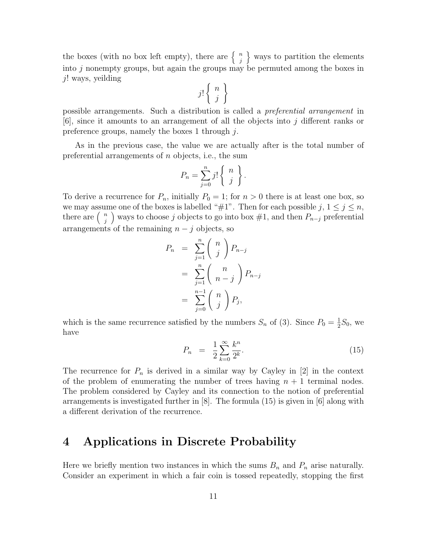the boxes (with no box left empty), there are  $\begin{cases} n \\ i \end{cases}$  $\binom{n}{j}$  ways to partition the elements into j nonempty groups, but again the groups may be permuted among the boxes in j! ways, yeilding

$$
j!\left\{\begin{array}{c} n \\ j \end{array}\right\}
$$

possible arrangements. Such a distribution is called a preferential arrangement in  $[6]$ , since it amounts to an arrangement of all the objects into j different ranks or preference groups, namely the boxes 1 through  $i$ .

As in the previous case, the value we are actually after is the total number of preferential arrangements of n objects, i.e., the sum

$$
P_n = \sum_{j=0}^n j! \begin{Bmatrix} n \\ j \end{Bmatrix}.
$$

To derive a recurrence for  $P_n$ , initially  $P_0 = 1$ ; for  $n > 0$  there is at least one box, so we may assume one of the boxes is labelled "#1". Then for each possible  $j, 1 \leq j \leq n$ , there are  $\binom{n}{i}$  $\binom{n}{j}$  ways to choose j objects to go into box  $#1$ , and then  $P_{n-j}$  preferential arrangements of the remaining  $n - j$  objects, so

$$
P_n = \sum_{j=1}^n {n \choose j} P_{n-j}
$$
  
= 
$$
\sum_{j=1}^n {n \choose n-j} P_{n-j}
$$
  
= 
$$
\sum_{j=0}^{n-1} {n \choose j} P_j,
$$

which is the same recurrence satisfied by the numbers  $S_n$  of (3). Since  $P_0 = \frac{1}{2}$  $\frac{1}{2}S_0$ , we have

$$
P_n = \frac{1}{2} \sum_{k=0}^{\infty} \frac{k^n}{2^k}.
$$
\n(15)

The recurrence for  $P_n$  is derived in a similar way by Cayley in [2] in the context of the problem of enumerating the number of trees having  $n + 1$  terminal nodes. The problem considered by Cayley and its connection to the notion of preferential arrangements is investigated further in  $[8]$ . The formula  $(15)$  is given in  $[6]$  along with a different derivation of the recurrence.

### 4 Applications in Discrete Probability

Here we briefly mention two instances in which the sums  $B_n$  and  $P_n$  arise naturally. Consider an experiment in which a fair coin is tossed repeatedly, stopping the first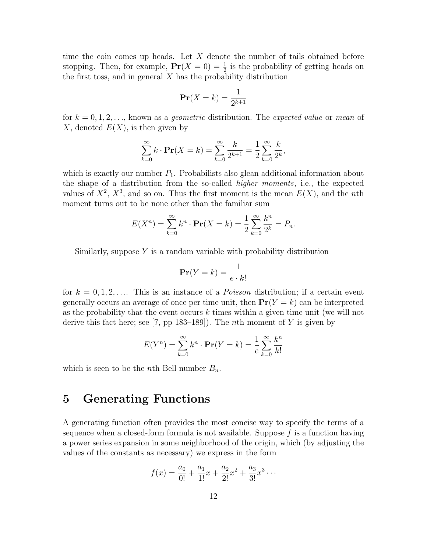time the coin comes up heads. Let  $X$  denote the number of tails obtained before stopping. Then, for example,  $Pr(X = 0) = \frac{1}{2}$  is the probability of getting heads on the first toss, and in general  $X$  has the probability distribution

$$
\mathbf{Pr}(X=k) = \frac{1}{2^{k+1}}
$$

for  $k = 0, 1, 2, \ldots$ , known as a *qeometric* distribution. The *expected value* or *mean* of X, denoted  $E(X)$ , is then given by

$$
\sum_{k=0}^{\infty} k \cdot \mathbf{Pr}(X = k) = \sum_{k=0}^{\infty} \frac{k}{2^{k+1}} = \frac{1}{2} \sum_{k=0}^{\infty} \frac{k}{2^k},
$$

which is exactly our number  $P_1$ . Probabilists also glean additional information about the shape of a distribution from the so-called higher moments, i.e., the expected values of  $X^2$ ,  $X^3$ , and so on. Thus the first moment is the mean  $E(X)$ , and the nth moment turns out to be none other than the familiar sum

$$
E(X^{n}) = \sum_{k=0}^{\infty} k^{n} \cdot \mathbf{Pr}(X = k) = \frac{1}{2} \sum_{k=0}^{\infty} \frac{k^{n}}{2^{k}} = P_{n}.
$$

Similarly, suppose  $Y$  is a random variable with probability distribution

$$
\mathbf{Pr}(Y=k) = \frac{1}{e \cdot k!}
$$

for  $k = 0, 1, 2, \ldots$  This is an instance of a *Poisson* distribution; if a certain event generally occurs an average of once per time unit, then  $Pr(Y = k)$  can be interpreted as the probability that the event occurs  $k$  times within a given time unit (we will not derive this fact here; see [7, pp 183–189]). The *n*th moment of Y is given by

$$
E(Y^{n}) = \sum_{k=0}^{\infty} k^{n} \cdot \mathbf{Pr}(Y = k) = \frac{1}{e} \sum_{k=0}^{\infty} \frac{k^{n}}{k!}
$$

which is seen to be the *n*th Bell number  $B_n$ .

# 5 Generating Functions

A generating function often provides the most concise way to specify the terms of a sequence when a closed-form formula is not available. Suppose  $f$  is a function having a power series expansion in some neighborhood of the origin, which (by adjusting the values of the constants as necessary) we express in the form

$$
f(x) = \frac{a_0}{0!} + \frac{a_1}{1!}x + \frac{a_2}{2!}x^2 + \frac{a_3}{3!}x^3 \cdots
$$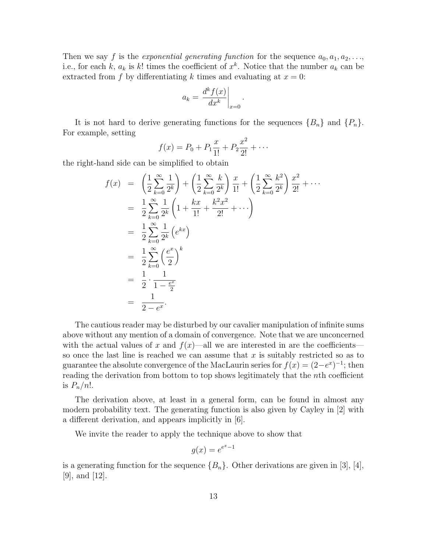Then we say f is the exponential generating function for the sequence  $a_0, a_1, a_2, \ldots$ , i.e., for each k,  $a_k$  is k! times the coefficient of  $x^k$ . Notice that the number  $a_k$  can be extracted from f by differentiating k times and evaluating at  $x = 0$ :

$$
a_k = \left. \frac{d^k f(x)}{dx^k} \right|_{x=0}.
$$

It is not hard to derive generating functions for the sequences  ${B_n}$  and  ${P_n}$ . For example, setting

$$
f(x) = P_0 + P_1 \frac{x}{1!} + P_2 \frac{x^2}{2!} + \cdots
$$

the right-hand side can be simplified to obtain

$$
f(x) = \left(\frac{1}{2}\sum_{k=0}^{\infty} \frac{1}{2^k}\right) + \left(\frac{1}{2}\sum_{k=0}^{\infty} \frac{k}{2^k}\right) \frac{x}{1!} + \left(\frac{1}{2}\sum_{k=0}^{\infty} \frac{k^2}{2^k}\right) \frac{x^2}{2!} + \cdots
$$
  
\n
$$
= \frac{1}{2}\sum_{k=0}^{\infty} \frac{1}{2^k} \left(1 + \frac{kx}{1!} + \frac{k^2x^2}{2!} + \cdots\right)
$$
  
\n
$$
= \frac{1}{2}\sum_{k=0}^{\infty} \frac{1}{2^k} \left(e^{kx}\right)
$$
  
\n
$$
= \frac{1}{2}\sum_{k=0}^{\infty} \left(\frac{e^x}{2}\right)^k
$$
  
\n
$$
= \frac{1}{2} \cdot \frac{1}{1 - \frac{e^x}{2}}
$$
  
\n
$$
= \frac{1}{2 - e^x}.
$$

The cautious reader may be disturbed by our cavalier manipulation of infinite sums above without any mention of a domain of convergence. Note that we are unconcerned with the actual values of x and  $f(x)$ —all we are interested in are the coefficients so once the last line is reached we can assume that  $x$  is suitably restricted so as to guarantee the absolute convergence of the MacLaurin series for  $f(x) = (2-e^x)^{-1}$ ; then reading the derivation from bottom to top shows legitimately that the nth coefficient is  $P_n/n!$ .

The derivation above, at least in a general form, can be found in almost any modern probability text. The generating function is also given by Cayley in [2] with a different derivation, and appears implicitly in [6].

We invite the reader to apply the technique above to show that

$$
g(x) = e^{e^x - 1}
$$

is a generating function for the sequence  ${B_n}$ . Other derivations are given in [3], [4], [9], and [12].